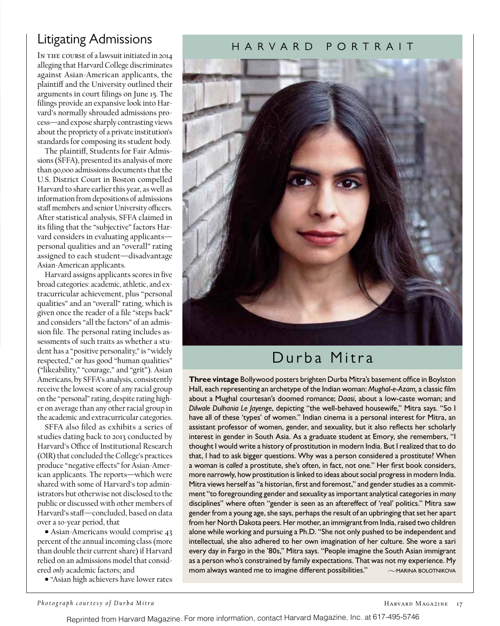## Litigating Admissions

In the course of a lawsuit initiated in 2014 alleging that Harvard College discriminates against Asian-American applicants, the plaintiff and the University outlined their arguments in court filings on June 15. The filings provide an expansive look into Harvard's normally shrouded admissions process—and expose sharply contrasting views about the propriety of a private institution's standards for composing its student body.

The plaintiff, Students for Fair Admissions (SFFA), presented its analysis of more than 90,000 admissions documents that the U.S. District Court in Boston compelled Harvard to share earlier this year, as well as information from depositions of admissions staff members and senior University officers. After statistical analysis, SFFA claimed in its filing that the "subjective" factors Harvard considers in evaluating applicants personal qualities and an "overall" rating assigned to each student—disadvantage Asian-American applicants.

Harvard assigns applicants scores in five broad categories: academic, athletic, and extracurricular achievement, plus "personal qualities" and an "overall" rating, which is given once the reader of a file "steps back" and considers "all the factors" of an admission file. The personal rating includes assessments of such traits as whether a student has a "positive personality," is "widely respected," or has good "human qualities" ("likeability," "courage," and "grit"). Asian Americans, by SFFA's analysis, consistently receive the lowest score of any racial group on the "personal" rating, despite rating higher on average than any other racial group in the academic and extracurricular categories.

SFFA also filed as exhibits a series of studies dating back to 2013 conducted by Harvard's Office of Institutional Research (OIR) that concluded the College's practices produce "negative effects" for Asian-American applicants. The reports—which were shared with some of Harvard's top administrators but otherwise not disclosed to the public or discussed with other members of Harvard's staff—concluded, based on data over a 10-year period, that

• Asian-Americans would comprise 43 percent of the annual incoming class (more than double their current share) if Harvard relied on an admissions model that considered *only* academic factors; and

• "Asian high achievers have lower rates

### HARVARD PORTRAIT



# Durba Mitra

**Three vintage** Bollywood posters brighten Durba Mitra's basement office in Boylston Hall, each representing an archetype of the Indian woman: *Mughal-e-Azam,* a classic film about a Mughal courtesan's doomed romance; *Daasi*, about a low-caste woman; and *Dilwale Dulhania Le Jayenge*, depicting "the well-behaved housewife," Mitra says. "So I have all of these 'types' of women." Indian cinema is a personal interest for Mitra, an assistant professor of women, gender, and sexuality, but it also reflects her scholarly interest in gender in South Asia. As a graduate student at Emory, she remembers, "I thought I would write a history of prostitution in modern India. But I realized that to do that, I had to ask bigger questions. Why was a person considered a prostitute? When a woman is *called* a prostitute, she's often, in fact, not one." Her first book considers, more narrowly, how prostitution is linked to ideas about social progress in modern India. Mitra views herself as "a historian, first and foremost," and gender studies as a commitment "to foregrounding gender and sexuality as important analytical categories in *many* disciplines" where often "gender is seen as an aftereffect of 'real' politics." Mitra saw gender from a young age, she says, perhaps the result of an upbringing that set her apart from her North Dakota peers. Her mother, an immigrant from India, raised two children alone while working and pursuing a Ph.D. "She not only pushed to be independent and intellectual, she also adhered to her own imagination of her culture. She wore a sari every day in Fargo in the '80s," Mitra says. "People imagine the South Asian immigrant as a person who's constrained by family expectations. That was not my experience. My mom always wanted me to imagine different possibilities."  $\sim$  MARINA BOLOTNIKOVA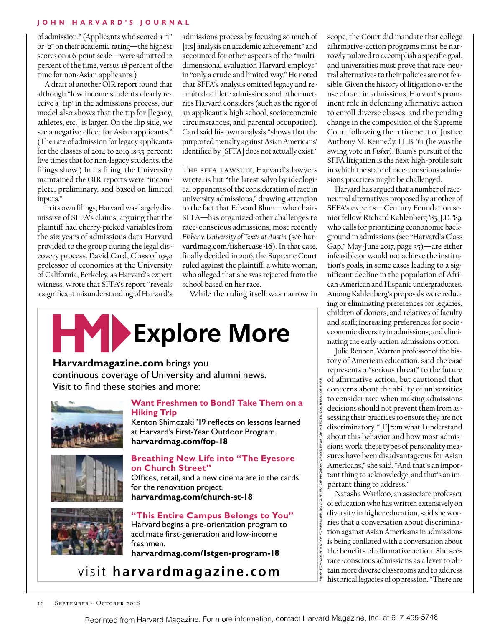#### **John H arvard's Journal**

of admission." (Applicants who scored a "1" or "2" on their academic rating—the highest scores on a 6-point scale—were admitted 12 percent of the time, versus 18 percent of the time for non-Asian applicants.)

A draft of another OIR report found that although "low income students clearly receive a 'tip' in the admissions process, our model also shows that the tip for [legacy, athletes, etc.] is larger. On the flip side, we see a negative effect for Asian applicants." (The rate of admission for legacy applicants for the classes of 2014 to 2019 is 33 percent: five times that for non-legacy students, the filings show.) In its filing, the University maintained the OIR reports were "incomplete, preliminary, and based on limited inputs."

In its own filings, Harvard was largely dismissive of SFFA's claims, arguing that the plaintiff had cherry-picked variables from the six years of admissions data Harvard provided to the group during the legal discovery process. David Card, Class of 1950 professor of economics at the University of California, Berkeley, as Harvard's expert witness, wrote that SFFA's report "reveals a significant misunderstanding of Harvard's

admissions process by focusing so much of [its] analysis on academic achievement" and accounted for other aspects of the "multidimensional evaluation Harvard employs" in "only a crude and limited way." He noted that SFFA's analysis omitted legacy and recruited-athlete admissions and other metrics Harvard considers (such as the rigor of an applicant's high school, socioeconomic circumstances, and parental occupation). Card said his own analysis "shows that the purported 'penalty against Asian Americans' identified by [SFFA] does not actually exist."

THE SFFA LAWSUIT, Harvard's lawyers wrote, is but "the latest salvo by ideological opponents of the consideration of race in university admissions," drawing attention to the fact that Edward Blum—who chairs SFFA—has organized other challenges to race-conscious admissions, most recently *Fisher v. University of Texas at Austin* (see **harvardmag.com/fishercase-16**). In that case, finally decided in 2016, the Supreme Court ruled against the plaintiff, a white woman, who alleged that she was rejected from the school based on her race.

While the ruling itself was narrow in

# **Explore More** HY.

### **Harvardmagazine.com** brings you

continuous coverage of University and alumni news. Visit to find these stories and more:



#### **Want Freshmen to Bond? Take Them on a Hiking Trip**

Kenton Shimozaki '19 reflects on lessons learned at Harvard's First-Year Outdoor Program. **harvardmag.com/fop-18**



#### **Breathing New Life into "The Eyesore on Church Street"**

Offices, retail, and a new cinema are in the cards for the renovation project. **harvardmag.com/church-st-18**



#### **"This Entire Campus Belongs to You"** Harvard begins a pre-orientation program to acclimate first-generation and low-income freshmen.

**harvardmag.com/1stgen-program-18**

## visit **harvardmagazine.com**

scope, the Court did mandate that college affirmative-action programs must be narrowly tailored to accomplish a specific goal, and universities must prove that race-neutral alternatives to their policies are not feasible. Given the history of litigation over the use of race in admissions, Harvard's prominent role in defending affirmative action to enroll diverse classes, and the pending change in the composition of the Supreme Court following the retirement of Justice Anthony M. Kennedy, LL.B. '61 (he was the swing vote in *Fisher)*, Blum's pursuit of the SFFA litigation is the next high-profile suit in which the state of race-conscious admissions practices might be challenged.

Harvard has argued that a number of raceneutral alternatives proposed by another of SFFA's experts—Century Foundation senior fellow Richard Kahlenberg '85, J.D. '89, who calls for prioritizing econonomic background in admissions (see "Harvard's Class Gap," May-June 2017, page 35)—are either infeasible or would not achieve the institution's goals, in some cases leading to a significant decline in the population of African-American and Hispanic undergraduates. Among Kahlenberg's proposals were reducing or eliminating preferences for legacies, children of donors, and relatives of faculty and staff; increasing preferences for socioeconomic diversity in admissions; and eliminating the early-action admissions option.

Julie Reuben, Warren professor of the history of American education, said the case represents a "serious threat" to the future of affirmative action, but cautioned that concerns about the ability of universities to consider race when making admissions decisions should not prevent them from assessing their practices to ensure they are not discriminatory. "[F]rom what I understand about this behavior and how most admissions work, these types of personality measures have been disadvantageous for Asian Americans," she said. "And that's an important thing to acknowledge, and that's an important thing to address."

Natasha Warikoo, an associate professor of education who has written extensively on diversity in higher education, said she worries that a conversation about discrimination against Asian Americans in admissions is being conflated with a conversation about the benefits of affirmative action. She sees race-conscious admissions as a lever to obtain more diverse classrooms and to address historical legacies of oppression. "There are

FROM TOP: COURTESY OF FOP;RENDERING COURTESY OF PROMONTORIO/MERGE ARCHITECTS: COURTESY OF FYRE

Ğ